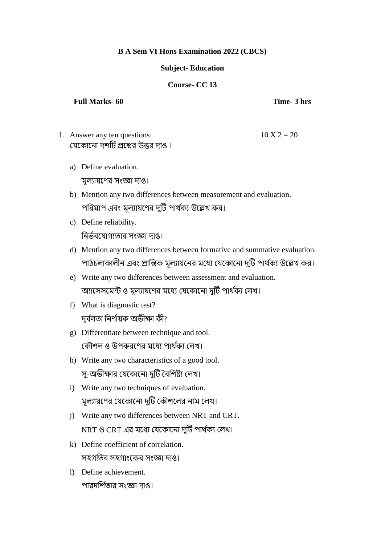## **B A Sem VI Hons Examination 2022 (CBCS)**

## **Subject- Education**

## **Course- CC 13**

## **Full Marks- 60 Time- 3 hrs**

- 1. Answer any ten questions:  $10 X 2 = 20$ যেকোনো দশটি প্রশ্নের উত্তর দাও।
	- a) Define evaluation. মূল্যোয়কের সংজ্ঞো দোও।
	- b) Mention any two differences between measurement and evaluation. পরিমাপ এবং মূল্যায়ণের দুটি পার্থক্য উল্লেখ কর।
	- c) Define reliability. র র্থরকেোগ্যতোর সংজ্ঞো দোও।
	- d) Mention any two differences between formative and summative evaluation. পাঠচলাকালীন এবং প্রান্তিক মূল্যায়নের মধ্যে যেকোনো দুটি পার্থক্য উল্লেখ কর।
	- e) Write any two differences between assessment and evaluation. অ্যাসেসমেন্ট ও মূল্যায়ণের মধ্যে যেকোনো দুটি পার্থক্য লেখ।
	- f) What is diagnostic test? দূৰ্বলতা নিৰ্ণায়ক অভীক্ষা কী?
	- g) Differentiate between technique and tool. কৌশল ও উপকরণের মধ্যে পার্থক্য লেখ।
	- h) Write any two characteristics of a good tool. স-অভীক্ষার যেকোনো দুটি বৈশিষ্ট্য লেখ।
	- i) Write any two techniques of evaluation. মূল্যায়ণের যেকোনো দুটি কৌশলের নাম লেখ।
	- j) Write any two differences between NRT and CRT. NRT ও CRT এর মধ্যে যেকোনো দুটি পার্থক্য লেখ।
	- k) Define coefficient of correlation. সহগতির সহগাংকের সংজ্ঞা দাও।
	- l) Define achievement. পারদর্শিতার সংজ্ঞা দাও।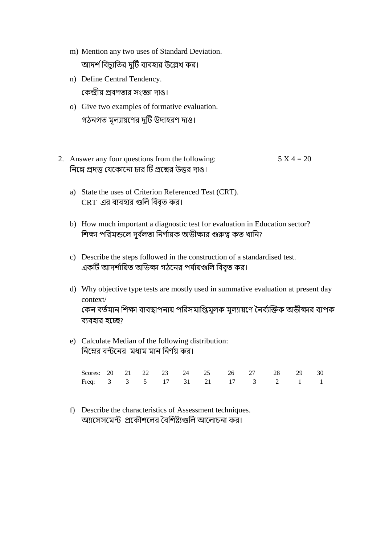- m) Mention any two uses of Standard Deviation. আদর্শ বিচ্যতির দটি ব্যবহার উল্লেখ কর।
- n) Define Central Tendency. য ন্দ্রীয় প্রবেতোর সংজ্ঞো দোও।
- o) Give two examples of formative evaluation. গঠনগত মূল্যায়ণের দুটি উদাহরণ দাও।
- 2. Answer any four questions from the following:  $5 X 4 = 20$ নিম্নে প্রদত্ত যেকোনো চার টি প্রশ্নের উত্তর দাও।
	- a) State the uses of Criterion Referenced Test (CRT). CRT এর ব্যবহার গুলি বিবৃত কর।
	- b) How much important a diagnostic test for evaluation in Education sector? শিক্ষা পরিমন্ডলে দূর্বলতা নির্ণায়ক অভীক্ষার গুরুত্ব কত খানি?
	- c) Describe the steps followed in the construction of a standardised test. একটি আদর্শায়িত অভিক্ষা গঠনের পর্যায়গুলি বিবৃত কর।
	- d) Why objective type tests are mostly used in summative evaluation at present day context/ কেন বর্তমান শিক্ষা ব্যবস্থাপনায় পরিসমাপ্তিমূলক মূল্যায়ণে নৈর্ব্যক্তিক অভীক্ষার ব্যপক বযবহোর হকে?
	- e) Calculate Median of the following distribution: নিম্নের বন্টনের মধ্যম মান নির্ণয় কর।

| Scores: 20 21 22 23 24 25 26 27 28 29 30 |  |  |  |  |  |  |
|------------------------------------------|--|--|--|--|--|--|
| Freq: 3 3 5 17 31 21 17 3 2 1 1          |  |  |  |  |  |  |

f) Describe the characteristics of Assessment techniques. অ্যাসেসমেন্ট প্রকৌশলের বৈশিষ্ট্যগুলি আলোচনা কর।